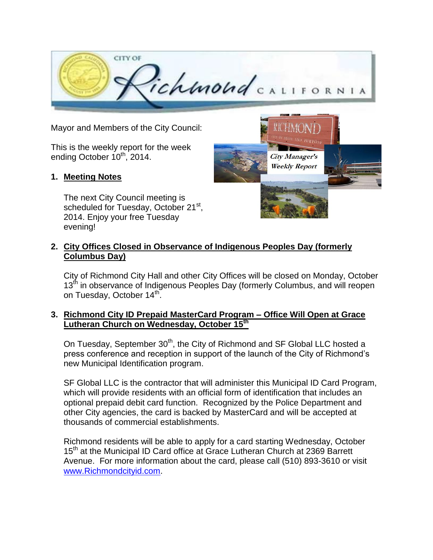

Mayor and Members of the City Council:

This is the weekly report for the week ending October  $10^{th}$ , 2014.

### **1. Meeting Notes**

The next City Council meeting is scheduled for Tuesday, October 21<sup>st</sup>, 2014. Enjoy your free Tuesday evening!



### **2. City Offices Closed in Observance of Indigenous Peoples Day (formerly Columbus Day)**

City of Richmond City Hall and other City Offices will be closed on Monday, October 13<sup>th</sup> in observance of Indigenous Peoples Day (formerly Columbus, and will reopen on Tuesday, October 14<sup>th</sup>.

### **3. Richmond City ID Prepaid MasterCard Program – Office Will Open at Grace Lutheran Church on Wednesday, October 15 th**

On Tuesday, September 30<sup>th</sup>, the City of Richmond and SF Global LLC hosted a press conference and reception in support of the launch of the City of Richmond's new Municipal Identification program.

SF Global LLC is the contractor that will administer this Municipal ID Card Program, which will provide residents with an official form of identification that includes an optional prepaid debit card function. Recognized by the Police Department and other City agencies, the card is backed by MasterCard and will be accepted at thousands of commercial establishments.

Richmond residents will be able to apply for a card starting Wednesday, October 15<sup>th</sup> at the Municipal ID Card office at Grace Lutheran Church at 2369 Barrett Avenue. For more information about the card, please call (510) 893-3610 or visit [www.Richmondcityid.com.](http://www.richmondcityid.com/)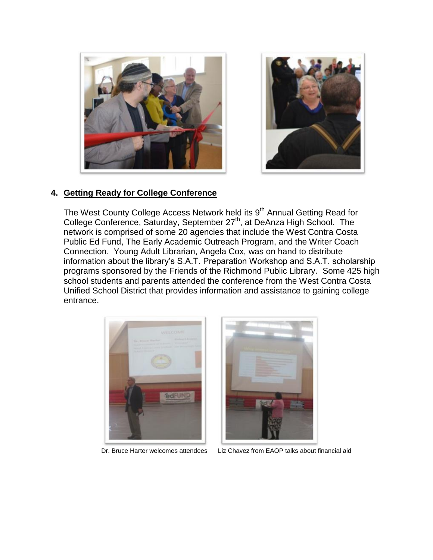



### **4. Getting Ready for College Conference**

The West County College Access Network held its 9<sup>th</sup> Annual Getting Read for College Conference, Saturday, September 27<sup>th</sup>, at DeAnza High School. The network is comprised of some 20 agencies that include the West Contra Costa Public Ed Fund, The Early Academic Outreach Program, and the Writer Coach Connection. Young Adult Librarian, Angela Cox, was on hand to distribute information about the library's S.A.T. Preparation Workshop and S.A.T. scholarship programs sponsored by the Friends of the Richmond Public Library. Some 425 high school students and parents attended the conference from the West Contra Costa Unified School District that provides information and assistance to gaining college entrance.





Dr. Bruce Harter welcomes attendees Liz Chavez from EAOP talks about financial aid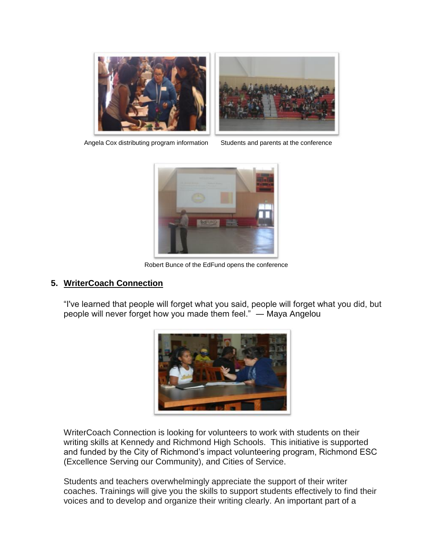



Angela Cox distributing program information Students and parents at the conference



Robert Bunce of the EdFund opens the conference

### **5. WriterCoach Connection**

"I've learned that people will forget what you said, people will forget what you did, but people will never forget how you made them feel." ― [Maya Angelou](https://www.goodreads.com/author/show/3503.Maya_Angelou)



WriterCoach Connection is looking for volunteers to work with students on their writing skills at Kennedy and Richmond High Schools. This initiative is supported and funded by the City of Richmond's impact volunteering program, Richmond ESC (Excellence Serving our Community), and Cities of Service.

Students and teachers overwhelmingly appreciate the support of their writer coaches. Trainings will give you the skills to support students effectively to find their voices and to develop and organize their writing clearly. An important part of a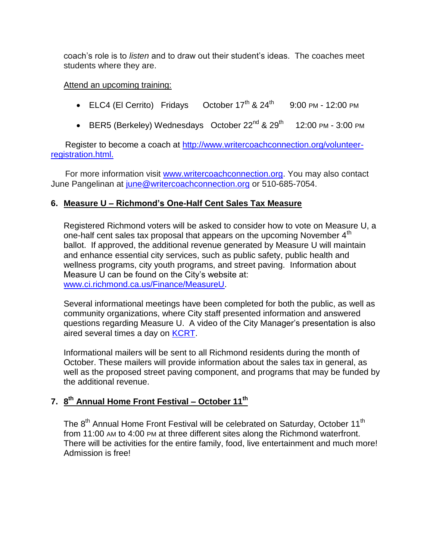coach's role is to *listen* and to draw out their student's ideas. The coaches meet students where they are.

### Attend an upcoming training:

- ELC4 (El Cerrito) Fridays October  $17<sup>th</sup>$  &  $24<sup>th</sup>$ 9:00 PM - 12:00 PM
- BER5 (Berkeley) Wednesdays October  $22^{nd}$  &  $29^{th}$  12:00 PM 3:00 PM

 Register to become a coach at [http://www.writercoachconnection.org/volunteer](http://www.writercoachconnection.org/volunteer-registration.html)[registration.html.](http://www.writercoachconnection.org/volunteer-registration.html)

For more information visit [www.writercoachconnection.org.](file:///C:/Users/perezs/AppData/Roaming/Microsoft/Word/www.writercoachconnection.org) You may also contact June Pangelinan at [june@writercoachconnection.org](mailto:june@writercoachconnection.org) or 510-685-7054.

# **6. Measure U – Richmond's One-Half Cent Sales Tax Measure**

Registered Richmond voters will be asked to consider how to vote on Measure U, a one-half cent sales tax proposal that appears on the upcoming November  $4<sup>th</sup>$ ballot. If approved, the additional revenue generated by Measure U will maintain and enhance essential city services, such as public safety, public health and wellness programs, city youth programs, and street paving. Information about Measure U can be found on the City's website at: [www.ci.richmond.ca.us/Finance/MeasureU.](http://www.ci.richmond.ca.us/Finance/MeasureU)

Several informational meetings have been completed for both the public, as well as community organizations, where City staff presented information and answered questions regarding Measure U. A video of the City Manager's presentation is also aired several times a day on [KCRT.](http://www.kcrt.com/)

Informational mailers will be sent to all Richmond residents during the month of October. These mailers will provide information about the sales tax in general, as well as the proposed street paving component, and programs that may be funded by the additional revenue.

# **7. 8 th Annual Home Front Festival – October 11th**

The 8<sup>th</sup> Annual Home Front Festival will be celebrated on Saturday, October 11<sup>th</sup> from 11:00 AM to 4:00 PM at three different sites along the Richmond waterfront. There will be activities for the entire family, food, live entertainment and much more! Admission is free!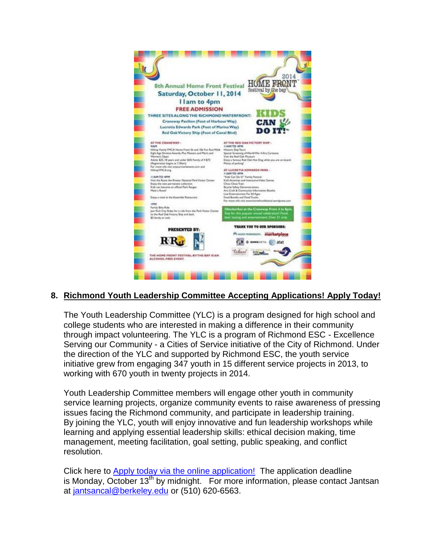

# **8. Richmond Youth Leadership Committee Accepting Applications! Apply Today!**

The Youth Leadership Committee (YLC) is a program designed for high school and college students who are interested in making a difference in their community through impact volunteering. The YLC is a program of Richmond ESC - Excellence Serving our Community - a Cities of Service initiative of the City of Richmond. Under the direction of the YLC and supported by Richmond ESC, the youth service initiative grew from engaging 347 youth in 15 different service projects in 2013, to working with 670 youth in twenty projects in 2014.

Youth Leadership Committee members will engage other youth in community service learning projects, organize community events to raise awareness of pressing issues facing the Richmond community, and participate in leadership training. By joining the YLC, youth will enjoy innovative and fun leadership workshops while learning and applying essential leadership skills: ethical decision making, time management, meeting facilitation, goal setting, public speaking, and conflict resolution.

Click here to [Apply today via the online application!](http://www.emailmeform.com/builder/form/0yz653Sn60418b7) The application deadline is Monday, October  $13<sup>th</sup>$  by midnight. For more information, please contact Jantsan at [jantsancal@berkeley.edu](mailto:jantsancal@berkeley.edu) or (510) 620-6563.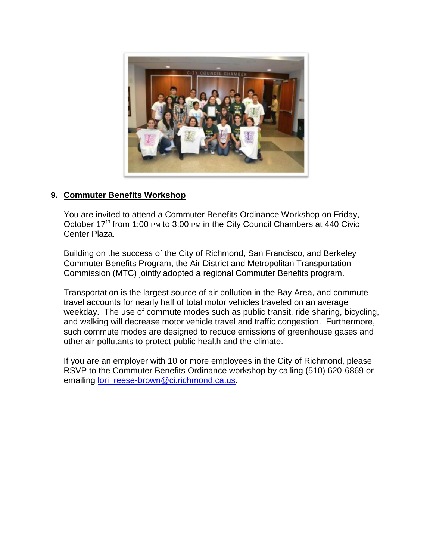

# **9. Commuter Benefits Workshop**

You are invited to attend a Commuter Benefits Ordinance Workshop on Friday, October 17<sup>th</sup> from 1:00 PM to 3:00 PM in the City Council Chambers at 440 Civic Center Plaza.

Building on the success of the City of Richmond, San Francisco, and Berkeley Commuter Benefits Program, the Air District and Metropolitan Transportation Commission (MTC) jointly adopted a regional Commuter Benefits program.

Transportation is the largest source of air pollution in the Bay Area, and commute travel accounts for nearly half of total motor vehicles traveled on an average weekday. The use of commute modes such as public transit, ride sharing, bicycling, and walking will decrease motor vehicle travel and traffic congestion. Furthermore, such commute modes are designed to reduce emissions of greenhouse gases and other air pollutants to protect public health and the climate.

If you are an employer with 10 or more employees in the City of Richmond, please RSVP to the Commuter Benefits Ordinance workshop by calling (510) 620-6869 or emailing [lori\\_reese-brown@ci.richmond.ca.us.](mailto:lori_reese-brown@ci.richmond.ca.us)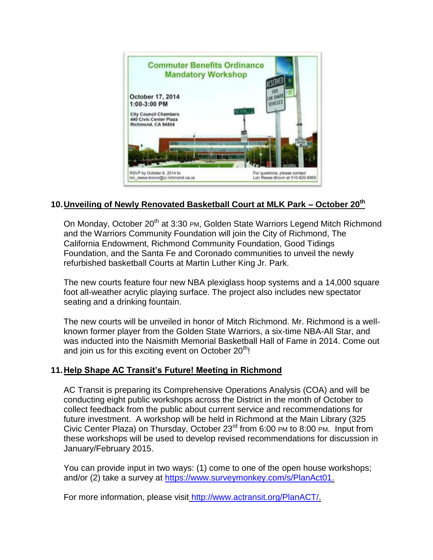

# **10.Unveiling of Newly Renovated Basketball Court at MLK Park – October 20th**

On Monday, October 20<sup>th</sup> at 3:30 PM, Golden State Warriors Legend Mitch Richmond and the Warriors Community Foundation will join the City of Richmond, The California Endowment, Richmond Community Foundation, Good Tidings Foundation, and the Santa Fe and Coronado communities to unveil the newly refurbished basketball Courts at Martin Luther King Jr. Park.

The new courts feature four new NBA plexiglass hoop systems and a 14,000 square foot all-weather acrylic playing surface. The project also includes new spectator seating and a drinking fountain.

The new courts will be unveiled in honor of Mitch Richmond. Mr. Richmond is a wellknown former player from the Golden State Warriors, a six-time NBA-All Star, and was inducted into the Naismith Memorial Basketball Hall of Fame in 2014. Come out and join us for this exciting event on October  $20<sup>th</sup>$ !

# **11.Help Shape AC Transit's Future! Meeting in Richmond**

AC Transit is preparing its Comprehensive Operations Analysis (COA) and will be conducting eight public workshops across the District in the month of October to collect feedback from the public about current service and recommendations for future investment. A workshop will be held in Richmond at the Main Library (325 Civic Center Plaza) on Thursday, October 23rd from 6:00 PM to 8:00 PM. Input from these workshops will be used to develop revised recommendations for discussion in January/February 2015.

You can provide input in two ways: (1) come to one of the open house workshops; and/or (2) take a survey at [https://www.surveymonkey.com/s/PlanAct01.](https://www.surveymonkey.com/s/PlanAct01)

For more information, please visit [http://www.actransit.org/PlanACT/.](http://www.actransit.org/PlanACT/)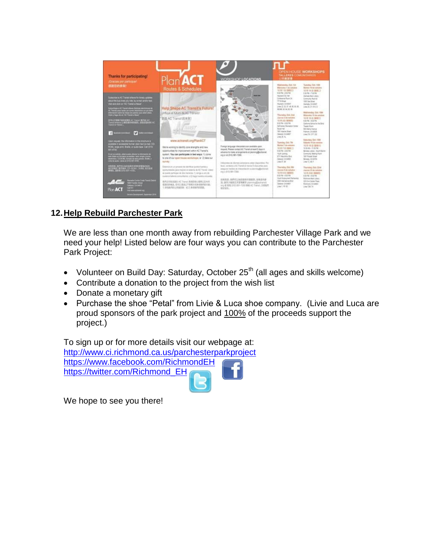

# **12.Help Rebuild Parchester Park**

We are less than one month away from rebuilding Parchester Village Park and we need your help! Listed below are four ways you can contribute to the Parchester Park Project:

- Volunteer on Build Day: Saturday, October  $25<sup>th</sup>$  (all ages and skills welcome)
- Contribute a donation to the project from the wish list
- Donate a monetary gift
- Purchase the shoe "Petal" from Livie & Luca shoe company. (Livie and Luca are proud sponsors of the park project and 100% of the proceeds support the project.)

To sign up or for more details visit our webpage at: <http://www.ci.richmond.ca.us/parchesterparkproject> <https://www.facebook.com/RichmondEH> [https://twitter.com/Richmond\\_EH](https://twitter.com/Richmond_EH)

We hope to see you there!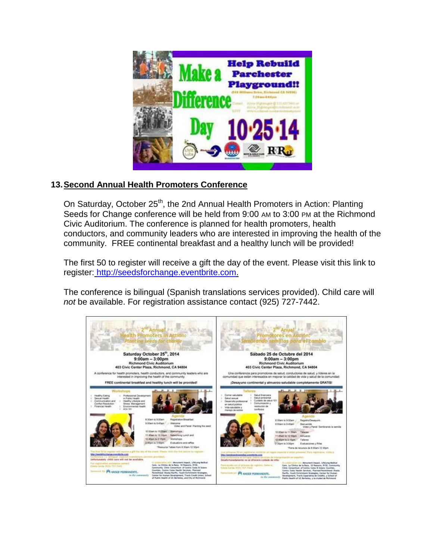

# **13.Second Annual Health Promoters Conference**

On Saturday, October 25<sup>th</sup>, the 2nd Annual Health Promoters in Action: Planting Seeds for Change conference will be held from 9:00 AM to 3:00 PM at the Richmond Civic Auditorium. The conference is planned for health promoters, health conductors, and community leaders who are interested in improving the health of the community. FREE continental breakfast and a healthy lunch will be provided!

The first 50 to register will receive a gift the day of the event. Please visit this link to register: [http://seedsforchange.eventbrite.com.](http://seedsforchange.eventbrite.com/)

The conference is bilingual (Spanish translations services provided). Child care will *not* be available. For registration assistance contact (925) 727-7442.

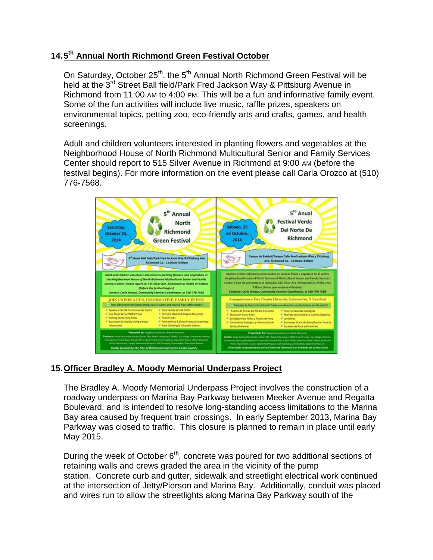# **14.5 th Annual North Richmond Green Festival October**

On Saturday, October 25<sup>th</sup>, the 5<sup>th</sup> Annual North Richmond Green Festival will be held at the 3<sup>rd</sup> Street Ball field/Park Fred Jackson Way & Pittsburg Avenue in Richmond from 11:00 AM to 4:00 PM. This will be a fun and informative family event. Some of the fun activities will include live music, raffle prizes, speakers on environmental topics, petting zoo, eco-friendly arts and crafts, games, and health screenings.

Adult and children volunteers interested in planting flowers and vegetables at the Neighborhood House of North Richmond Multicultural Senior and Family Services Center should report to 515 Silver Avenue in Richmond at 9:00 AM (before the festival begins). For more information on the event please call Carla Orozco at (510) 776-7568.



# **15.Officer Bradley A. Moody Memorial Underpass Project**

The Bradley A. Moody Memorial Underpass Project involves the construction of a roadway underpass on Marina Bay Parkway between Meeker Avenue and Regatta Boulevard, and is intended to resolve long-standing access limitations to the Marina Bay area caused by frequent train crossings. In early September 2013, Marina Bay Parkway was closed to traffic. This closure is planned to remain in place until early May 2015.

During the week of October 6<sup>th</sup>, concrete was poured for two additional sections of retaining walls and crews graded the area in the vicinity of the pump station. Concrete curb and gutter, sidewalk and streetlight electrical work continued at the intersection of Jetty/Pierson and Marina Bay. Additionally, conduit was placed and wires run to allow the streetlights along Marina Bay Parkway south of the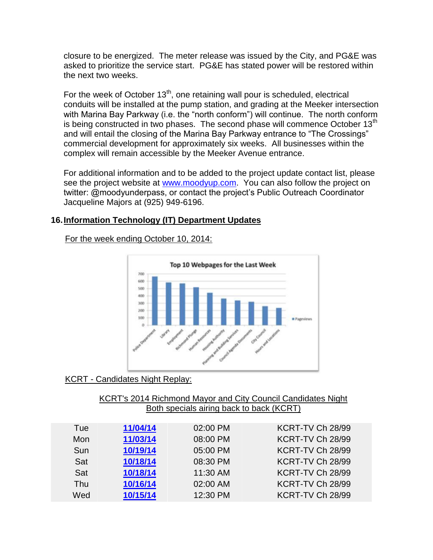closure to be energized. The meter release was issued by the City, and PG&E was asked to prioritize the service start. PG&E has stated power will be restored within the next two weeks.

For the week of October  $13<sup>th</sup>$ , one retaining wall pour is scheduled, electrical conduits will be installed at the pump station, and grading at the Meeker intersection with Marina Bay Parkway (i.e. the "north conform") will continue. The north conform is being constructed in two phases. The second phase will commence October  $13<sup>th</sup>$ and will entail the closing of the Marina Bay Parkway entrance to "The Crossings" commercial development for approximately six weeks. All businesses within the complex will remain accessible by the Meeker Avenue entrance.

For additional information and to be added to the project update contact list, please see the project website at [www.moodyup.com.](http://www.moodyup.com/) You can also follow the project on twitter: @moodyunderpass, or contact the project's Public Outreach Coordinator Jacqueline Majors at (925) 949-6196.

# **16.Information Technology (IT) Department Updates**

For the week ending October 10, 2014:



KCRT - Candidates Night Replay:

| KCRT's 2014 Richmond Mayor and City Council Candidates Night |  |  |  |  |  |
|--------------------------------------------------------------|--|--|--|--|--|
| Both specials airing back to back (KCRT)                     |  |  |  |  |  |

| Tue | 11/04/14 | 02:00 PM | KCRT-TV Ch 28/99 |
|-----|----------|----------|------------------|
| Mon | 11/03/14 | 08:00 PM | KCRT-TV Ch 28/99 |
| Sun | 10/19/14 | 05:00 PM | KCRT-TV Ch 28/99 |
| Sat | 10/18/14 | 08:30 PM | KCRT-TV Ch 28/99 |
| Sat | 10/18/14 | 11:30 AM | KCRT-TV Ch 28/99 |
| Thu | 10/16/14 | 02:00 AM | KCRT-TV Ch 28/99 |
| Wed | 10/15/14 | 12:30 PM | KCRT-TV Ch 28/99 |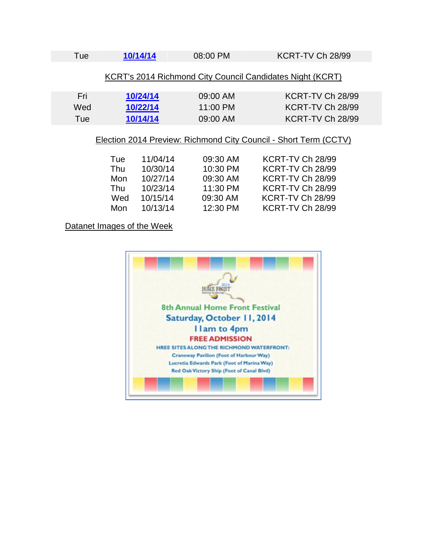| Tue                                                                                        | 10/14/14                         | 08:00 PM                         | KCRT-TV Ch 28/99                                         |  |  |
|--------------------------------------------------------------------------------------------|----------------------------------|----------------------------------|----------------------------------------------------------|--|--|
| KCRT's 2014 Richmond City Council Candidates Night (KCRT)                                  |                                  |                                  |                                                          |  |  |
| Fri<br>Wed<br>Tue                                                                          | 10/24/14<br>10/22/14<br>10/14/14 | 09:00 AM<br>11:00 PM<br>09:00 AM | KCRT-TV Ch 28/99<br>KCRT-TV Ch 28/99<br>KCRT-TV Ch 28/99 |  |  |
| Election 2014 Preview: Richmond City Council - Short Term (CCTV)<br>.<br><br>$1700 - 7170$ |                                  |                                  |                                                          |  |  |

| Tue  | 11/04/14 | 09:30 AM | KCRT-TV Ch 28/99 |
|------|----------|----------|------------------|
| Thu  | 10/30/14 | 10:30 PM | KCRT-TV Ch 28/99 |
| Mon. | 10/27/14 | 09:30 AM | KCRT-TV Ch 28/99 |
| Thu  | 10/23/14 | 11:30 PM | KCRT-TV Ch 28/99 |
| Wed  | 10/15/14 | 09:30 AM | KCRT-TV Ch 28/99 |
| Mon  | 10/13/14 | 12:30 PM | KCRT-TV Ch 28/99 |
|      |          |          |                  |

# Datanet Images of the Week

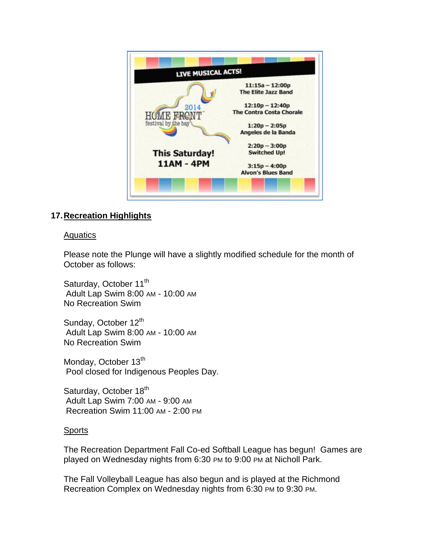

# **17.Recreation Highlights**

### **Aquatics**

Please note the Plunge will have a slightly modified schedule for the month of October as follows:

Saturday, October 11<sup>th</sup> Adult Lap Swim 8:00 AM - 10:00 AM No Recreation Swim

Sunday, October 12<sup>th</sup> Adult Lap Swim 8:00 AM - 10:00 AM No Recreation Swim

Monday, October 13<sup>th</sup> Pool closed for Indigenous Peoples Day.

Saturday, October 18<sup>th</sup> Adult Lap Swim 7:00 AM - 9:00 AM Recreation Swim 11:00 AM - 2:00 PM

### Sports

The Recreation Department Fall Co-ed Softball League has begun! Games are played on Wednesday nights from 6:30 PM to 9:00 PM at Nicholl Park.

The Fall Volleyball League has also begun and is played at the Richmond Recreation Complex on Wednesday nights from 6:30 PM to 9:30 PM.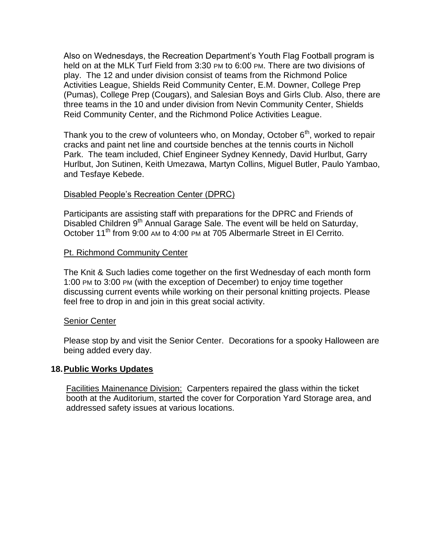Also on Wednesdays, the Recreation Department's Youth Flag Football program is held on at the MLK Turf Field from 3:30 PM to 6:00 PM. There are two divisions of play. The 12 and under division consist of teams from the Richmond Police Activities League, Shields Reid Community Center, E.M. Downer, College Prep (Pumas), College Prep (Cougars), and Salesian Boys and Girls Club. Also, there are three teams in the 10 and under division from Nevin Community Center, Shields Reid Community Center, and the Richmond Police Activities League.

Thank you to the crew of volunteers who, on Monday, October  $6<sup>th</sup>$ , worked to repair cracks and paint net line and courtside benches at the tennis courts in Nicholl Park. The team included, Chief Engineer Sydney Kennedy, David Hurlbut, Garry Hurlbut, Jon Sutinen, Keith Umezawa, Martyn Collins, Miguel Butler, Paulo Yambao, and Tesfaye Kebede.

### Disabled People's Recreation Center (DPRC)

Participants are assisting staff with preparations for the DPRC and Friends of Disabled Children 9<sup>th</sup> Annual Garage Sale. The event will be held on Saturday, October 11<sup>th</sup> from 9:00 AM to 4:00 PM at 705 Albermarle Street in El Cerrito.

### Pt. Richmond Community Center

The Knit & Such ladies come together on the first Wednesday of each month form 1:00 PM to 3:00 PM (with the exception of December) to enjoy time together discussing current events while working on their personal knitting projects. Please feel free to drop in and join in this great social activity.

#### Senior Center

Please stop by and visit the Senior Center. Decorations for a spooky Halloween are being added every day.

#### **18.Public Works Updates**

Facilities Mainenance Division: Carpenters repaired the glass within the ticket booth at the Auditorium, started the cover for Corporation Yard Storage area, and addressed safety issues at various locations.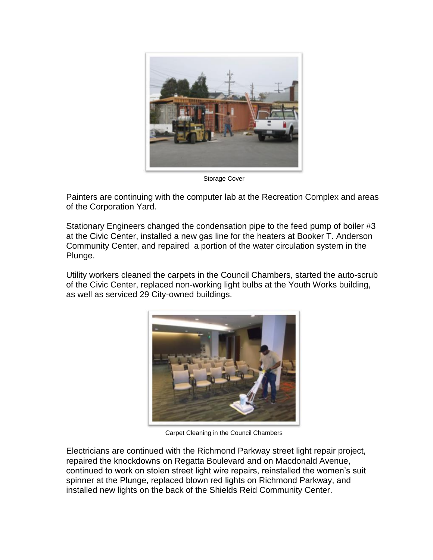

Storage Cover

Painters are continuing with the computer lab at the Recreation Complex and areas of the Corporation Yard.

Stationary Engineers changed the condensation pipe to the feed pump of boiler #3 at the Civic Center, installed a new gas line for the heaters at Booker T. Anderson Community Center, and repaired a portion of the water circulation system in the Plunge.

Utility workers cleaned the carpets in the Council Chambers, started the auto-scrub of the Civic Center, replaced non-working light bulbs at the Youth Works building, as well as serviced 29 City-owned buildings.



Carpet Cleaning in the Council Chambers

Electricians are continued with the Richmond Parkway street light repair project, repaired the knockdowns on Regatta Boulevard and on Macdonald Avenue, continued to work on stolen street light wire repairs, reinstalled the women's suit spinner at the Plunge, replaced blown red lights on Richmond Parkway, and installed new lights on the back of the Shields Reid Community Center.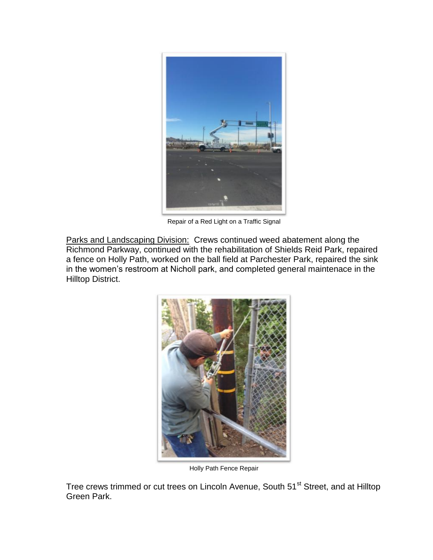

Repair of a Red Light on a Traffic Signal

Parks and Landscaping Division: Crews continued weed abatement along the Richmond Parkway, continued with the rehabilitation of Shields Reid Park, repaired a fence on Holly Path, worked on the ball field at Parchester Park, repaired the sink in the women's restroom at Nicholl park, and completed general maintenace in the Hilltop District.



Holly Path Fence Repair

Tree crews trimmed or cut trees on Lincoln Avenue, South 51<sup>st</sup> Street, and at Hilltop Green Park.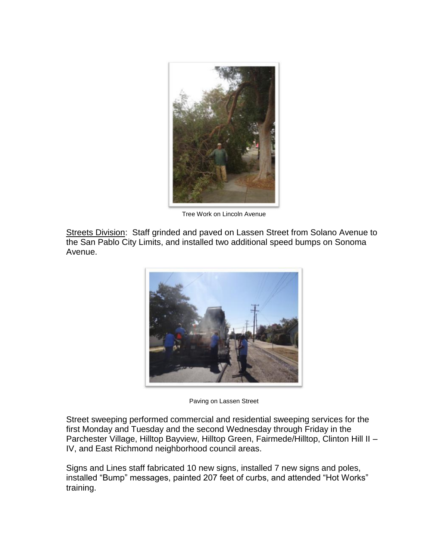

Tree Work on Lincoln Avenue

Streets Division: Staff grinded and paved on Lassen Street from Solano Avenue to the San Pablo City Limits, and installed two additional speed bumps on Sonoma Avenue.



Paving on Lassen Street

Street sweeping performed commercial and residential sweeping services for the first Monday and Tuesday and the second Wednesday through Friday in the Parchester Village, Hilltop Bayview, Hilltop Green, Fairmede/Hilltop, Clinton Hill II – IV, and East Richmond neighborhood council areas.

Signs and Lines staff fabricated 10 new signs, installed 7 new signs and poles, installed "Bump" messages, painted 207 feet of curbs, and attended "Hot Works" training.